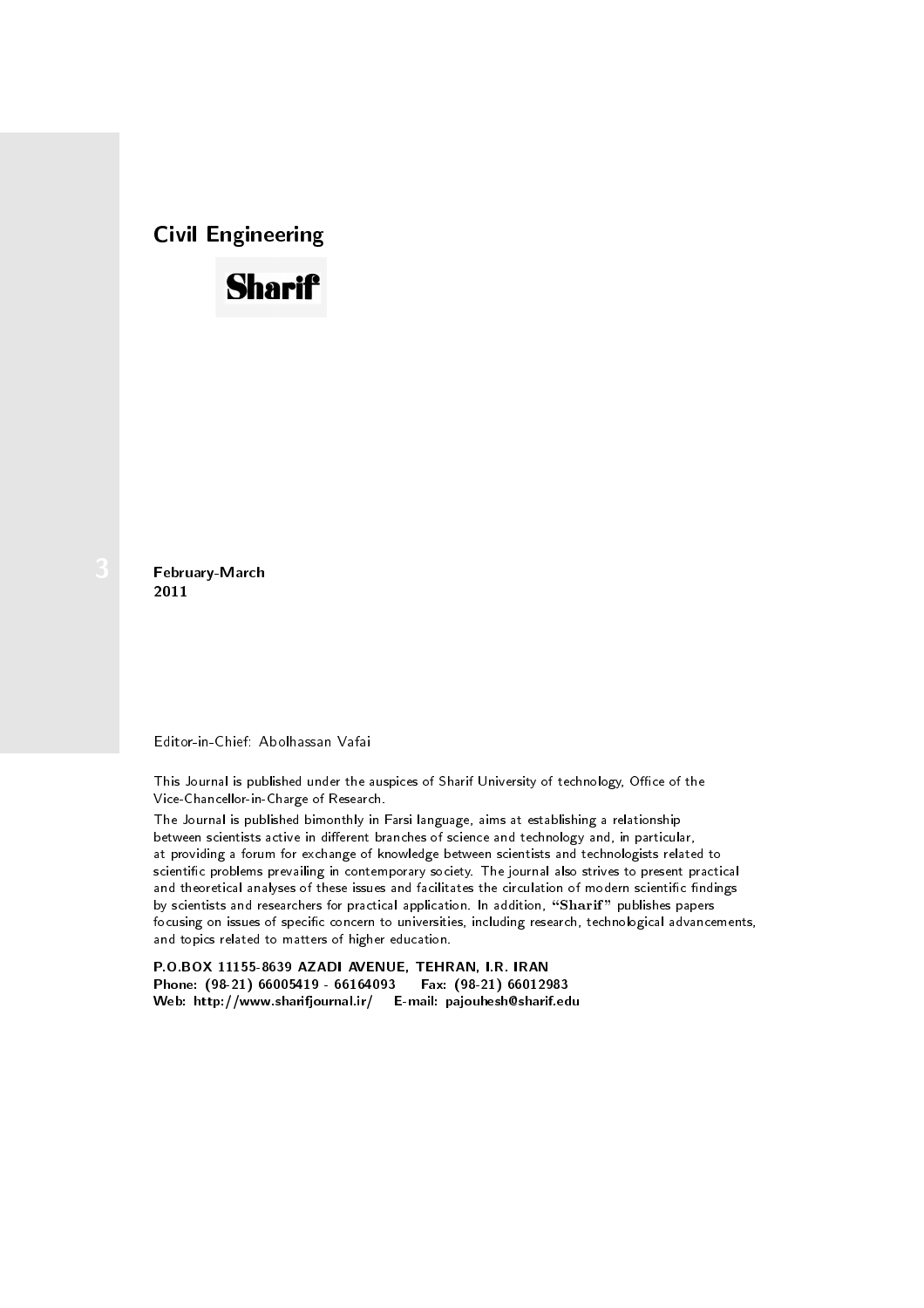Civil Engineering



February-March 2011

Editor-in-Chief: Abolhassan Vafai

This Journal is published under the auspices of Sharif University of technology, Office of the Vice-Chancellor-in-Charge of Research.

The Journal is published bimonthly in Farsi language, aims at establishing a relationship between scientists active in different branches of science and technology and, in particular, at providing a forum for exchange of knowledge between scientists and technologists related to scientific problems prevailing in contemporary society. The journal also strives to present practical and theoretical analyses of these issues and facilitates the circulation of modern scientific findings by scientists and researchers for practical application. In addition, "Sharif" publishes papers focusing on issues of specific concern to universities, including research, technological advancements, and topics related to matters of higher education.

P.O.BOX 11155-8639 AZADI AVENUE, TEHRAN, I.R. IRAN Phone: (98-21) 66005419 - 66164093 Web: http://www.sharifjournal.ir/ E-mail: pajouhesh@sharif.edu